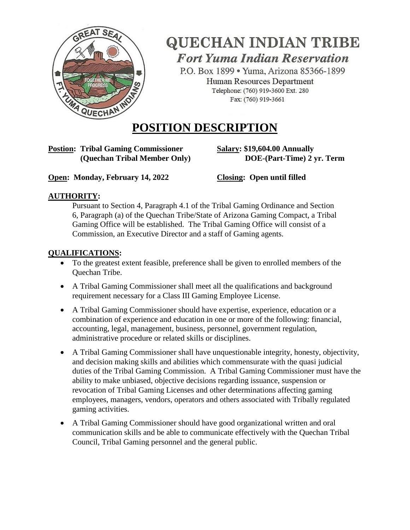

# **QUECHAN INDIAN TRIBE Fort Yuma Indian Reservation**

P.O. Box 1899 · Yuma, Arizona 85366-1899 Human Resources Department Telephone: (760) 919-3600 Ext. 280 Fax: (760) 919-3661

## **POSITION DESCRIPTION**

# **Postion: Tribal Gaming Commissioner Salary: \$19,604.00 Annually**

 **(Quechan Tribal Member Only) DOE-(Part-Time) 2 yr. Term**

**Open: Monday, February 14, 2022** Closing: Open until filled

## **AUTHORITY:**

Pursuant to Section 4, Paragraph 4.1 of the Tribal Gaming Ordinance and Section 6, Paragraph (a) of the Quechan Tribe/State of Arizona Gaming Compact, a Tribal Gaming Office will be established. The Tribal Gaming Office will consist of a Commission, an Executive Director and a staff of Gaming agents.

### **QUALIFICATIONS:**

- To the greatest extent feasible, preference shall be given to enrolled members of the Quechan Tribe.
- A Tribal Gaming Commissioner shall meet all the qualifications and background requirement necessary for a Class III Gaming Employee License.
- A Tribal Gaming Commissioner should have expertise, experience, education or a combination of experience and education in one or more of the following: financial, accounting, legal, management, business, personnel, government regulation, administrative procedure or related skills or disciplines.
- A Tribal Gaming Commissioner shall have unquestionable integrity, honesty, objectivity, and decision making skills and abilities which commensurate with the quasi judicial duties of the Tribal Gaming Commission. A Tribal Gaming Commissioner must have the ability to make unbiased, objective decisions regarding issuance, suspension or revocation of Tribal Gaming Licenses and other determinations affecting gaming employees, managers, vendors, operators and others associated with Tribally regulated gaming activities.
- A Tribal Gaming Commissioner should have good organizational written and oral communication skills and be able to communicate effectively with the Quechan Tribal Council, Tribal Gaming personnel and the general public.